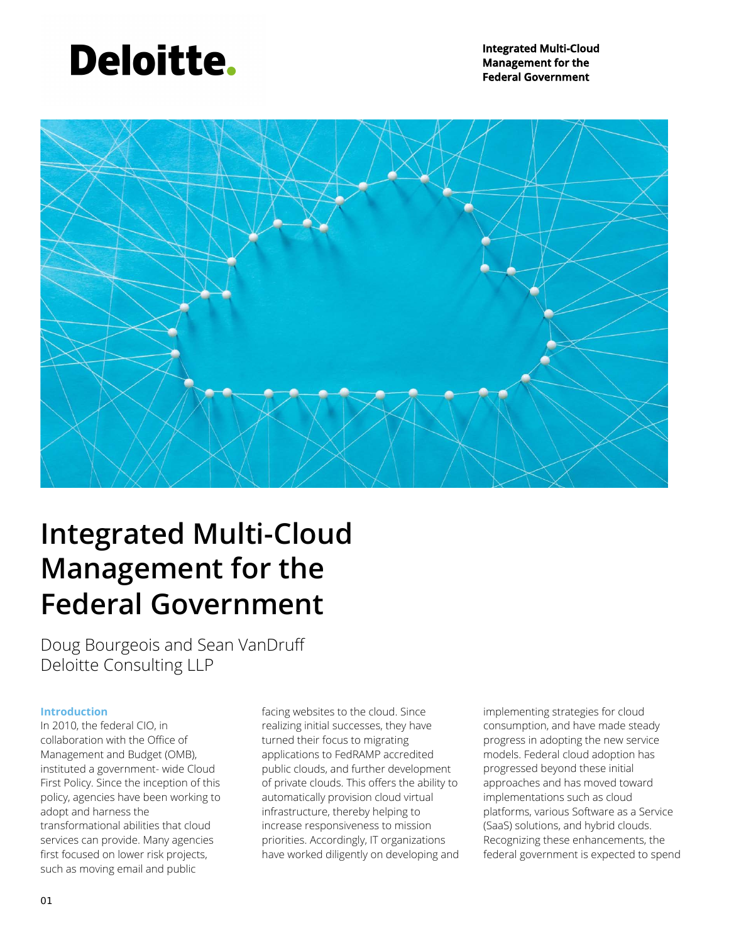## **Deloitte.**

**Integrated Multi-Cloud Management for the Federal Government** 



### **Integrated Multi-Cloud Management for the Federal Government**

Doug Bourgeois and Sean VanDruff Deloitte Consulting LLP

#### **Introduction**

In 2010, the federal CIO, in collaboration with the Office of Management and Budget (OMB), instituted a government- wide Cloud First Policy. Since the inception of this policy, agencies have been working to adopt and harness the transformational abilities that cloud services can provide. Many agencies first focused on lower risk projects, such as moving email and public

facing websites to the cloud. Since realizing initial successes, they have turned their focus to migrating applications to FedRAMP accredited public clouds, and further development of private clouds. This offers the ability to automatically provision cloud virtual infrastructure, thereby helping to increase responsiveness to mission priorities. Accordingly, IT organizations have worked diligently on developing and implementing strategies for cloud consumption, and have made steady progress in adopting the new service models. Federal cloud adoption has progressed beyond these initial approaches and has moved toward implementations such as cloud platforms, various Software as a Service (SaaS) solutions, and hybrid clouds. Recognizing these enhancements, the federal government is expected to spend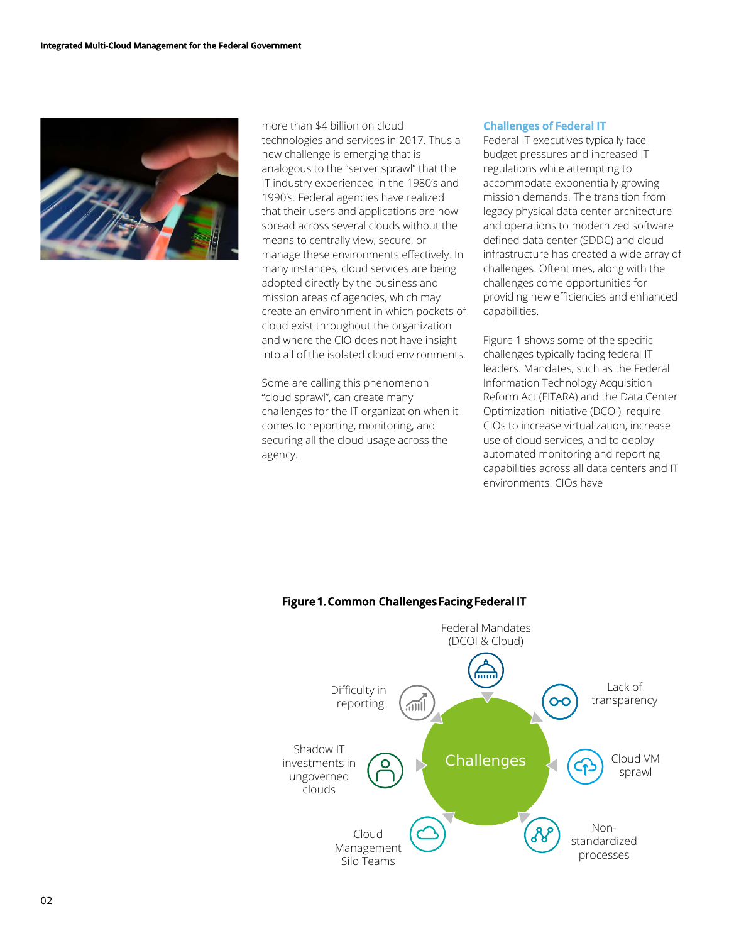

more than \$4 billion on cloud technologies and services in 2017. Thus a new challenge is emerging that is analogous to the "server sprawl" that the IT industry experienced in the 1980's and 1990's. Federal agencies have realized that their users and applications are now spread across several clouds without the means to centrally view, secure, or manage these environments effectively. In many instances, cloud services are being adopted directly by the business and mission areas of agencies, which may create an environment in which pockets of cloud exist throughout the organization and where the CIO does not have insight into all of the isolated cloud environments.

Some are calling this phenomenon "cloud sprawl", can create many challenges for the IT organization when it comes to reporting, monitoring, and securing all the cloud usage across the agency.

#### **Challenges of Federal IT**

Federal IT executives typically face budget pressures and increased IT regulations while attempting to accommodate exponentially growing mission demands. The transition from legacy physical data center architecture and operations to modernized software defined data center (SDDC) and cloud infrastructure has created a wide array of challenges. Oftentimes, along with the challenges come opportunities for providing new efficiencies and enhanced capabilities.

Figure 1 shows some of the specific challenges typically facing federal IT leaders. Mandates, such as the Federal Information Technology Acquisition Reform Act (FITARA) and the Data Center Optimization Initiative (DCOI), require CIOs to increase virtualization, increase use of cloud services, and to deploy automated monitoring and reporting capabilities across all data centers and IT environments. CIOs have



#### **Figure 1. Common Challenges Facing Federal IT**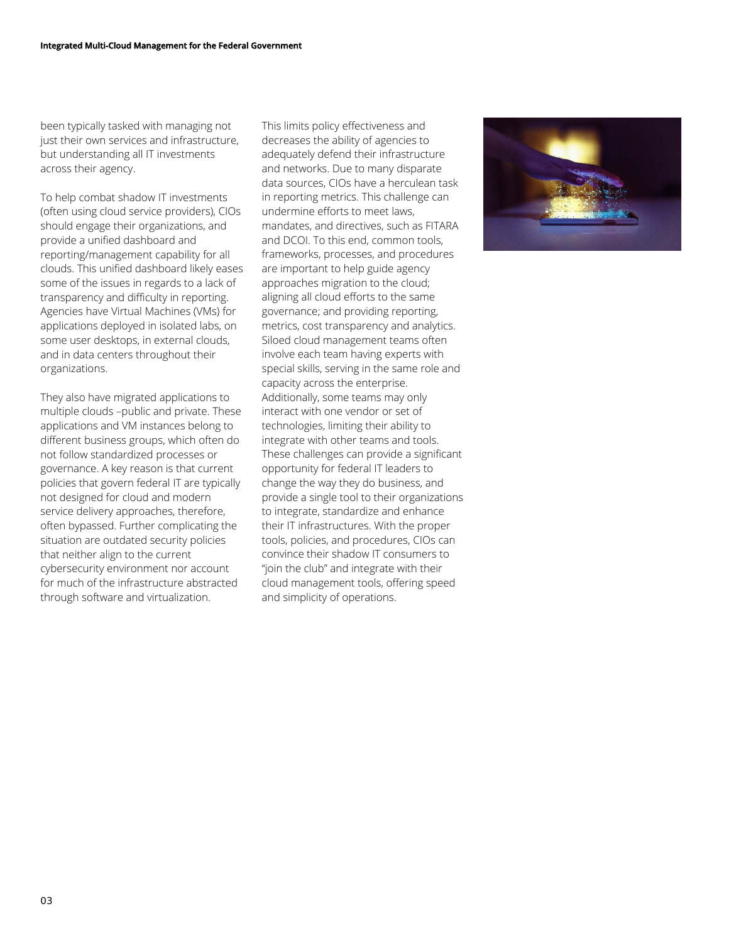been typically tasked with managing not just their own services and infrastructure, but understanding all IT investments across their agency.

To help combat shadow IT investments (often using cloud service providers), CIOs should engage their organizations, and provide a unified dashboard and reporting/management capability for all clouds. This unified dashboard likely eases some of the issues in regards to a lack of transparency and difficulty in reporting. Agencies have Virtual Machines (VMs) for applications deployed in isolated labs, on some user desktops, in external clouds, and in data centers throughout their organizations.

They also have migrated applications to multiple clouds –public and private. These applications and VM instances belong to different business groups, which often do not follow standardized processes or governance. A key reason is that current policies that govern federal IT are typically not designed for cloud and modern service delivery approaches, therefore, often bypassed. Further complicating the situation are outdated security policies that neither align to the current cybersecurity environment nor account for much of the infrastructure abstracted through software and virtualization.

This limits policy effectiveness and decreases the ability of agencies to adequately defend their infrastructure and networks. Due to many disparate data sources, CIOs have a herculean task in reporting metrics. This challenge can undermine efforts to meet laws, mandates, and directives, such as FITARA and DCOL. To this end, common tools, frameworks, processes, and procedures are important to help guide agency approaches migration to the cloud; aligning all cloud efforts to the same governance; and providing reporting, metrics, cost transparency and analytics. Siloed cloud management teams often involve each team having experts with special skills, serving in the same role and capacity across the enterprise. Additionally, some teams may only interact with one vendor or set of technologies, limiting their ability to integrate with other teams and tools. These challenges can provide a significant opportunity for federal IT leaders to change the way they do business, and provide a single tool to their organizations to integrate, standardize and enhance their IT infrastructures. With the proper tools, policies, and procedures, CIOs can convince their shadow IT consumers to "join the club" and integrate with their cloud management tools, offering speed and simplicity of operations.

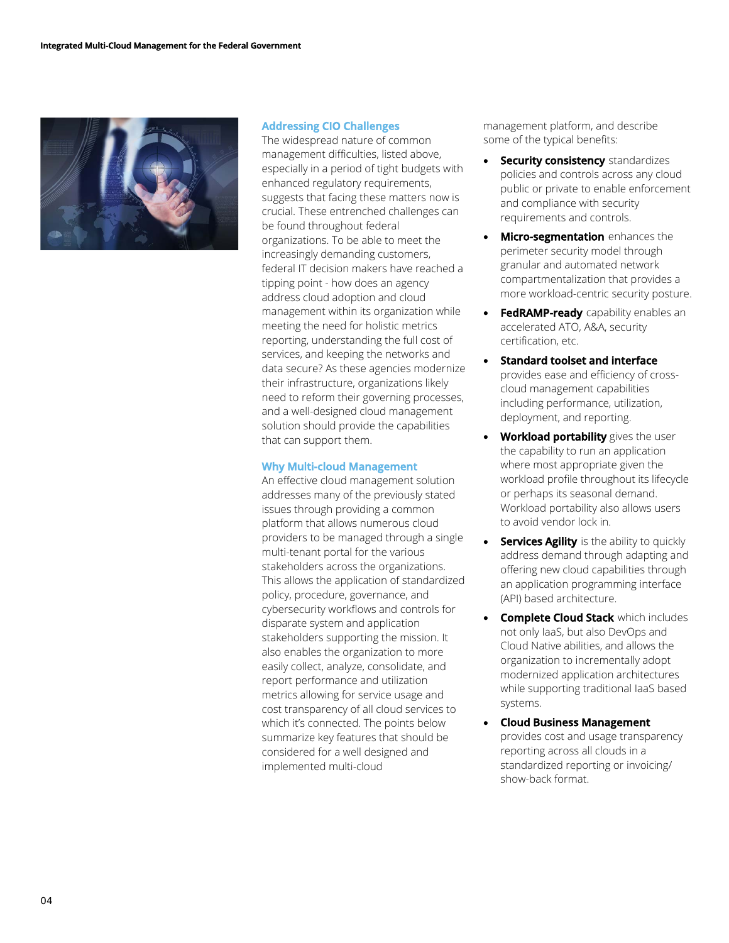

#### **Addressing CIO Challenges**

The widespread nature of common management difficulties, listed above, especially in a period of tight budgets with enhanced regulatory requirements, suggests that facing these matters now is crucial. These entrenched challenges can be found throughout federal organizations. To be able to meet the increasingly demanding customers, federal IT decision makers have reached a tipping point - how does an agency address cloud adoption and cloud management within its organization while meeting the need for holistic metrics reporting, understanding the full cost of services, and keeping the networks and data secure? As these agencies modernize their infrastructure, organizations likely need to reform their governing processes, and a well-designed cloud management solution should provide the capabilities that can support them.

#### **Why Multi-cloud Management**

An effective cloud management solution addresses many of the previously stated issues through providing a common platform that allows numerous cloud providers to be managed through a single multi-tenant portal for the various stakeholders across the organizations. This allows the application of standardized policy, procedure, governance, and cybersecurity workflows and controls for disparate system and application stakeholders supporting the mission. It also enables the organization to more easily collect, analyze, consolidate, and report performance and utilization metrics allowing for service usage and cost transparency of all cloud services to which it's connected. The points below summarize key features that should be considered for a well designed and implemented multi-cloud

management platform, and describe some of the typical benefits:

- **Security consistency** standardizes policies and controls across any cloud public or private to enable enforcement and compliance with security requirements and controls.
- **Micro-segmentation** enhances the perimeter security model through granular and automated network compartmentalization that provides a more workload-centric security posture.
- **FedRAMP-ready** capability enables an accelerated ATO, A&A, security certification, etc.
- **Standard toolset and interface** provides ease and efficiency of crosscloud management capabilities including performance, utilization, deployment, and reporting.
- **Workload portability** gives the user the capability to run an application where most appropriate given the workload profile throughout its lifecycle or perhaps its seasonal demand. Workload portability also allows users to avoid vendor lock in.
- **Services Agility** is the ability to quickly address demand through adapting and offering new cloud capabilities through an application programming interface (API) based architecture.
- **Complete Cloud Stack** which includes not only IaaS, but also DevOps and Cloud Native abilities, and allows the organization to incrementally adopt modernized application architectures while supporting traditional IaaS based systems.
- **Cloud Business Management** provides cost and usage transparency reporting across all clouds in a standardized reporting or invoicing/ show-back format.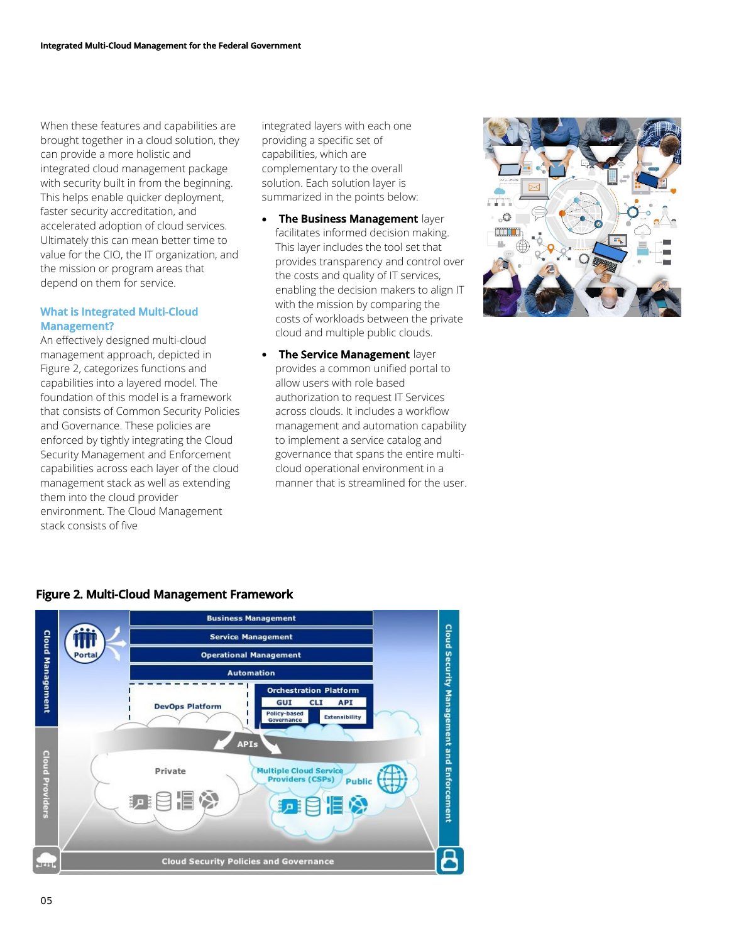When these features and capabilities are brought together in a cloud solution, they can provide a more holistic and integrated cloud management package with security built in from the beginning. This helps enable quicker deployment, faster security accreditation, and accelerated adoption of cloud services. Ultimately this can mean better time to value for the CIO, the IT organization, and the mission or program areas that depend on them for service.

#### **What is Integrated Multi-Cloud Management?**

An effectively designed multi-cloud management approach, depicted in Figure 2, categorizes functions and capabilities into a layered model. The foundation of this model is a framework that consists of Common Security Policies and Governance. These policies are enforced by tightly integrating the Cloud Security Management and Enforcement capabilities across each layer of the cloud management stack as well as extending them into the cloud provider environment. The Cloud Management stack consists of five

integrated layers with each one providing a specific set of capabilities, which are complementary to the overall solution. Each solution layer is summarized in the points below:

- **The Business Management** layer facilitates informed decision making. This layer includes the tool set that provides transparency and control over the costs and quality of IT services, enabling the decision makers to align IT with the mission by comparing the costs of workloads between the private cloud and multiple public clouds.
- **The Service Management** layer provides a common unified portal to allow users with role based authorization to request IT Services across clouds. It includes a workflow management and automation capability to implement a service catalog and governance that spans the entire multicloud operational environment in a manner that is streamlined for the user.



### **Figure 2. Multi-Cloud Management Framework**

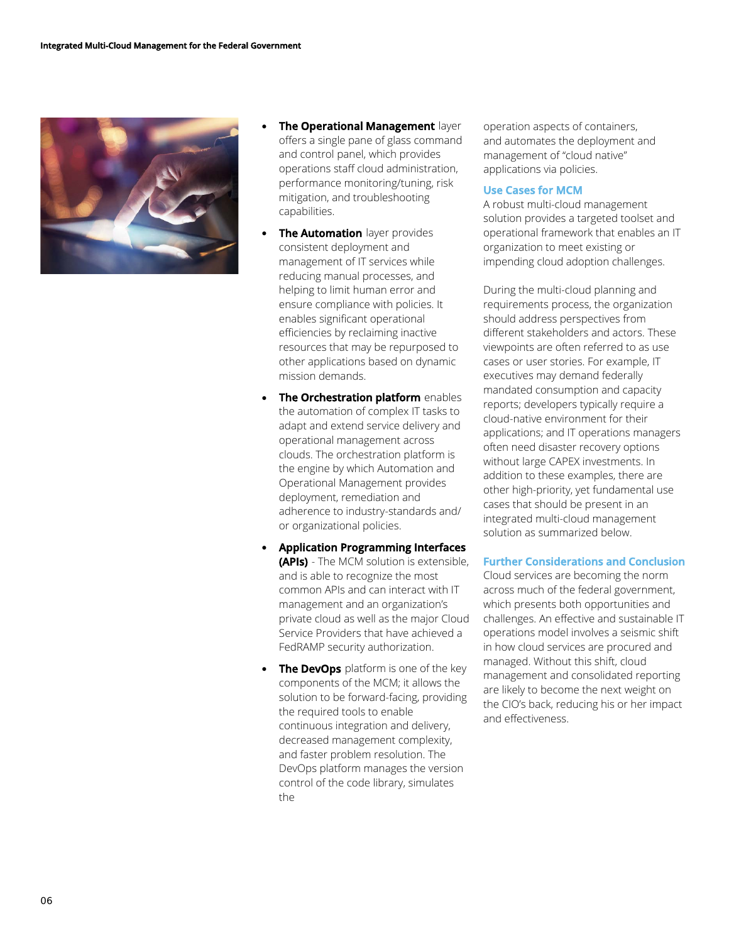

- **The Operational Management** layer offers a single pane of glass command and control panel, which provides operations staff cloud administration, performance monitoring/tuning, risk mitigation, and troubleshooting capabilities.
- **The Automation** layer provides consistent deployment and management of IT services while reducing manual processes, and helping to limit human error and ensure compliance with policies. It enables significant operational efficiencies by reclaiming inactive resources that may be repurposed to other applications based on dynamic mission demands.
- **The Orchestration platform** enables the automation of complex IT tasks to adapt and extend service delivery and operational management across clouds. The orchestration platform is the engine by which Automation and Operational Management provides deployment, remediation and adherence to industry-standards and/ or organizational policies.
- **Application Programming Interfaces (APIs)** - The MCM solution is extensible, and is able to recognize the most common APIs and can interact with IT management and an organization's private cloud as well as the major Cloud Service Providers that have achieved a FedRAMP security authorization.
- **The DevOps** platform is one of the key components of the MCM; it allows the solution to be forward-facing, providing the required tools to enable continuous integration and delivery, decreased management complexity, and faster problem resolution. The DevOps platform manages the version control of the code library, simulates the

operation aspects of containers, and automates the deployment and management of "cloud native" applications via policies.

#### **Use Cases for MCM**

A robust multi-cloud management solution provides a targeted toolset and operational framework that enables an IT organization to meet existing or impending cloud adoption challenges.

During the multi-cloud planning and requirements process, the organization should address perspectives from different stakeholders and actors. These viewpoints are often referred to as use cases or user stories. For example, IT executives may demand federally mandated consumption and capacity reports; developers typically require a cloud-native environment for their applications; and IT operations managers often need disaster recovery options without large CAPEX investments. In addition to these examples, there are other high-priority, yet fundamental use cases that should be present in an integrated multi-cloud management solution as summarized below.

#### **Further Considerations and Conclusion**

Cloud services are becoming the norm across much of the federal government, which presents both opportunities and challenges. An effective and sustainable IT operations model involves a seismic shift in how cloud services are procured and managed. Without this shift, cloud management and consolidated reporting are likely to become the next weight on the CIO's back, reducing his or her impact and effectiveness.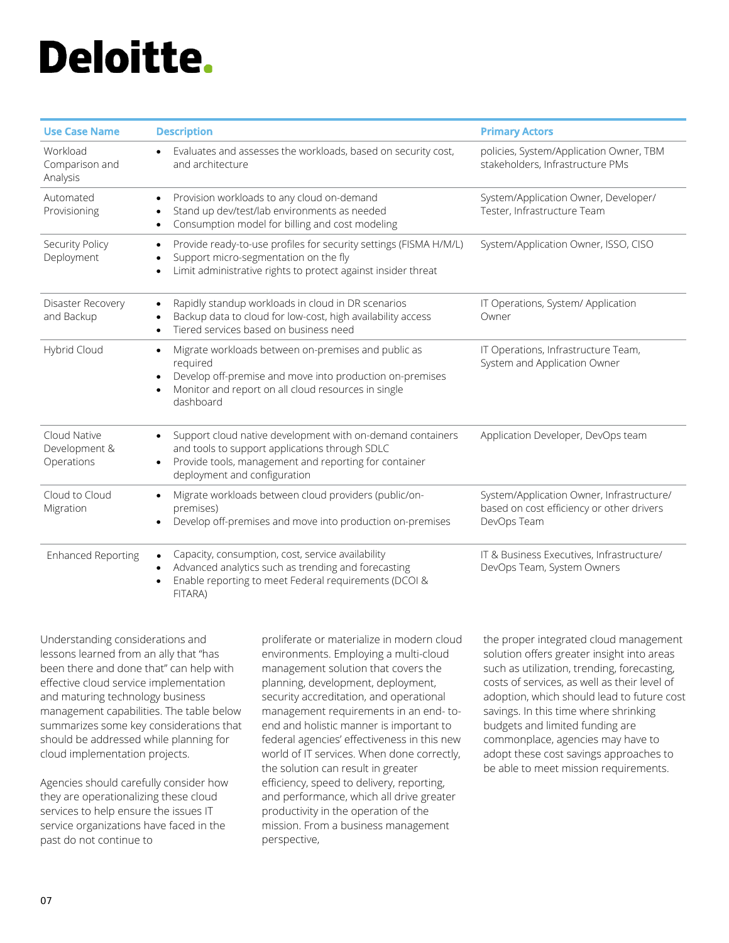# **Deloitte.**

| <b>Use Case Name</b>                        | <b>Description</b>                                                                                                                                                                                                                     | <b>Primary Actors</b>                                                                                 |
|---------------------------------------------|----------------------------------------------------------------------------------------------------------------------------------------------------------------------------------------------------------------------------------------|-------------------------------------------------------------------------------------------------------|
| Workload<br>Comparison and<br>Analysis      | Evaluates and assesses the workloads, based on security cost,<br>$\bullet$<br>and architecture                                                                                                                                         | policies, System/Application Owner, TBM<br>stakeholders, Infrastructure PMs                           |
| Automated<br>Provisioning                   | Provision workloads to any cloud on-demand<br>Stand up dev/test/lab environments as needed<br>Consumption model for billing and cost modeling                                                                                          | System/Application Owner, Developer/<br>Tester, Infrastructure Team                                   |
| Security Policy<br>Deployment               | Provide ready-to-use profiles for security settings (FISMA H/M/L)<br>$\bullet$<br>Support micro-segmentation on the fly<br>Limit administrative rights to protect against insider threat                                               | System/Application Owner, ISSO, CISO                                                                  |
| Disaster Recovery<br>and Backup             | Rapidly standup workloads in cloud in DR scenarios<br>Backup data to cloud for low-cost, high availability access<br>Tiered services based on business need<br>٠                                                                       | IT Operations, System/ Application<br>Owner                                                           |
| Hybrid Cloud                                | Migrate workloads between on-premises and public as<br>$\bullet$<br>required<br>Develop off-premise and move into production on-premises<br>$\bullet$<br>Monitor and report on all cloud resources in single<br>$\bullet$<br>dashboard | IT Operations, Infrastructure Team,<br>System and Application Owner                                   |
| Cloud Native<br>Development &<br>Operations | Support cloud native development with on-demand containers<br>$\bullet$<br>and tools to support applications through SDLC<br>Provide tools, management and reporting for container<br>$\bullet$<br>deployment and configuration        | Application Developer, DevOps team                                                                    |
| Cloud to Cloud<br>Migration                 | Migrate workloads between cloud providers (public/on-<br>premises)<br>Develop off-premises and move into production on-premises                                                                                                        | System/Application Owner, Infrastructure/<br>based on cost efficiency or other drivers<br>DevOps Team |
| <b>Enhanced Reporting</b>                   | Capacity, consumption, cost, service availability<br>Advanced analytics such as trending and forecasting<br>Enable reporting to meet Federal requirements (DCOI &<br>$\bullet$<br>FITARA)                                              | IT & Business Executives, Infrastructure/<br>DevOps Team, System Owners                               |

Understanding considerations and lessons learned from an ally that "has been there and done that" can help with effective cloud service implementation and maturing technology business management capabilities. The table below summarizes some key considerations that should be addressed while planning for cloud implementation projects.

Agencies should carefully consider how they are operationalizing these cloud services to help ensure the issues IT service organizations have faced in the past do not continue to

proliferate or materialize in modern cloud environments. Employing a multi-cloud management solution that covers the planning, development, deployment, security accreditation, and operational management requirements in an end- toend and holistic manner is important to federal agencies' effectiveness in this new world of IT services. When done correctly, the solution can result in greater efficiency, speed to delivery, reporting, and performance, which all drive greater productivity in the operation of the mission. From a business management perspective,

the proper integrated cloud management solution offers greater insight into areas such as utilization, trending, forecasting, costs of services, as well as their level of adoption, which should lead to future cost savings. In this time where shrinking budgets and limited funding are commonplace, agencies may have to adopt these cost savings approaches to be able to meet mission requirements.